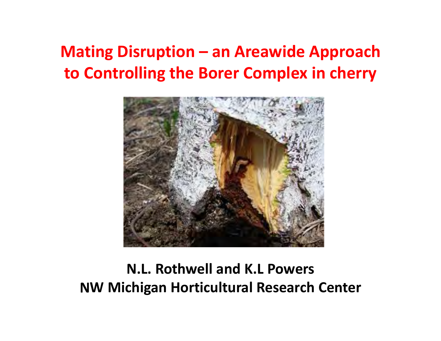#### **Mating Disruption – an Areawide Approach to Controlling the Borer Complex in cherry**



#### **N.L. Rothwell and K.L PowersNW Michigan Horticultural Research Center**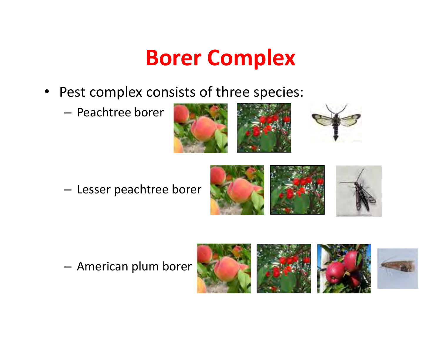### **Borer Complex**

- $\bullet$ Pest complex consists of three species:
	- – $-$  Peachtree borer









– $-$  American plum borer





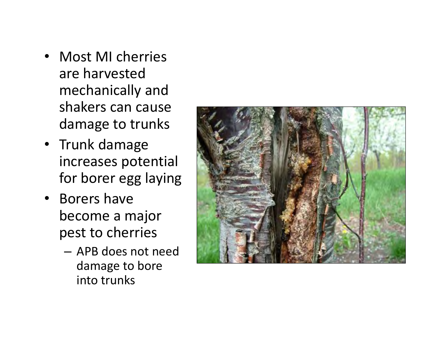- Most MI cherries are harvested mechanically and shakers can cause damage to trunks
- Trunk damage increases potential for borer egg laying
- Borers have become a major pest to cherries
	- APB does not need damage to bore into trunks

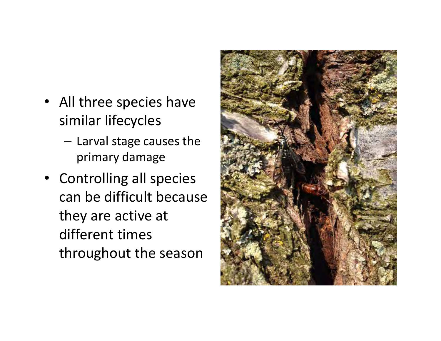- All three species have similar lifecycles
	- $-$  Larval stage causes the primary damage
- • Controlling all species can be difficult because they are active at different times throughout the season

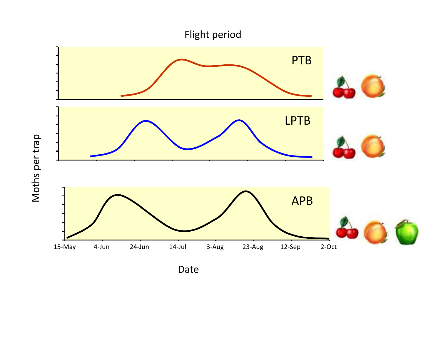

Date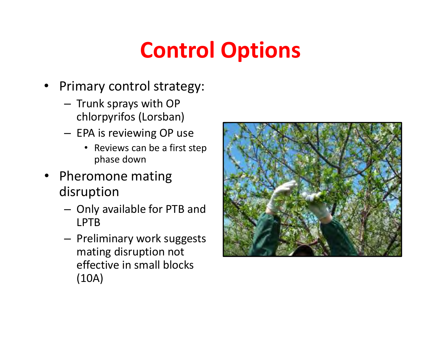# **Control Options**

- •Primary control strategy:
	- –- Trunk sprays with OP chlorpyrifos (Lorsban)
	- EPA is reviewing OP use
		- Reviews can be a first step phase down
- • Pheromone mating disruption
	- –- Only available for PTB and LPTB
	- –- Preliminary work suggests mating disruption not effective in small blocks (10A)

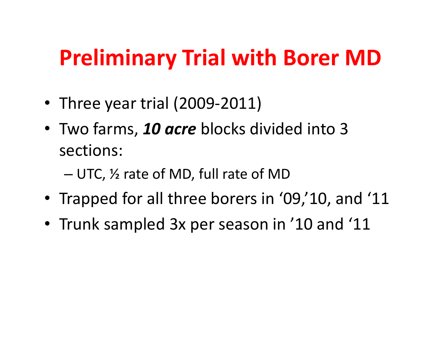## **Preliminary Trial with Borer MD**

- •Three year trial (2009-2011)
- Two farms, *10 acre* blocks divided into 3 sections:

UTC, ½ rate of MD, full rate of MD

- Trapped for all three borers in '09,'10, and '11
- Trunk sampled 3x per season in '10 and '11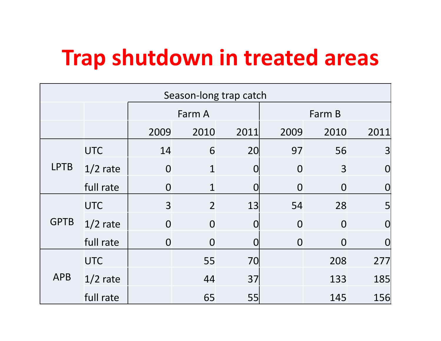## **Trap shutdown in treated areas**

| Season-long trap catch |            |                |                |                 |                |                |                |
|------------------------|------------|----------------|----------------|-----------------|----------------|----------------|----------------|
|                        |            | Farm A         |                |                 | Farm B         |                |                |
|                        |            | 2009           | 2010           | 2011            | 2009           | 2010           | 2011           |
| <b>LPTB</b>            | <b>UTC</b> | 14             | 6              | 20 <sup>l</sup> | 97             | 56             | 3              |
|                        | $1/2$ rate | $\Omega$       | $\mathbf 1$    | $\Omega$        | $\Omega$       | 3              | O              |
|                        | full rate  | $\overline{0}$ | $\mathbf{1}$   | $\Omega$        | $\overline{0}$ | $\overline{0}$ | O              |
| <b>GPTB</b>            | <b>UTC</b> | $\overline{3}$ | $\overline{2}$ | 13              | 54             | 28             | 5              |
|                        | $1/2$ rate | $\overline{0}$ | $\overline{0}$ | $\Omega$        | $\overline{0}$ | $\overline{0}$ | $\overline{0}$ |
|                        | full rate  | $\overline{0}$ | $\overline{0}$ | Ω               | $\overline{0}$ | $\overline{0}$ | $\Omega$       |
| <b>APB</b>             | <b>UTC</b> |                | 55             | 70              |                | 208            | 277            |
|                        | $1/2$ rate |                | 44             | 37              |                | 133            | 185            |
|                        | full rate  |                | 65             | 55              |                | 145            | 156            |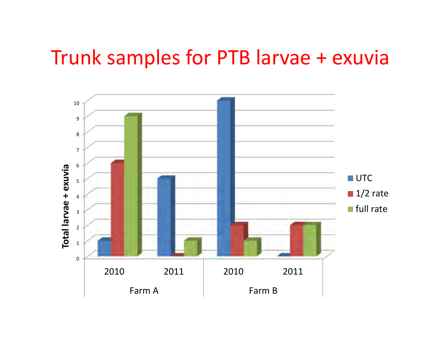### Trunk samples for PTB larvae + exuvia

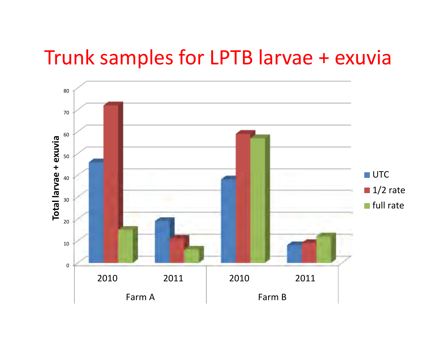### Trunk samples for LPTB larvae + exuvia

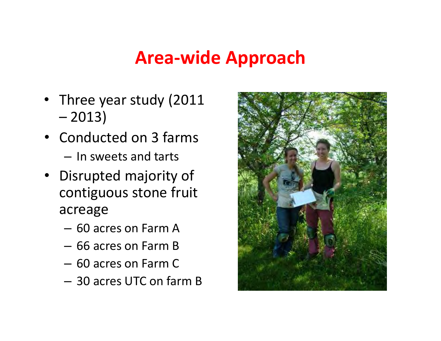#### **Area-wide Approach**

- Three year study (2011 –2013)
- Conducted on 3 farms  $-$  In sweets and tarts
- Disrupted majority of contiguous stone fruit acreage
	- 60 acres on Farm A
	- –66 acres on Farm B
	- 60 acres on Farm C
	- 30 acres UTC on farm B

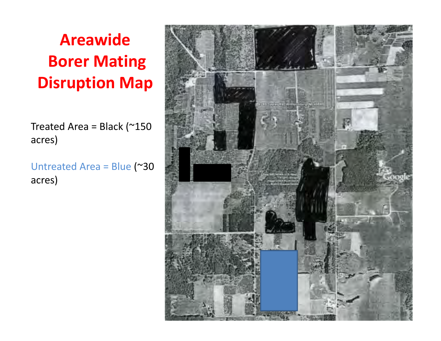### **Areawide Borer Mating Disruption Map**

Treated Area = Black ( $\approx$ 150 acres)

Untreated Area = Blue (~30 acres)

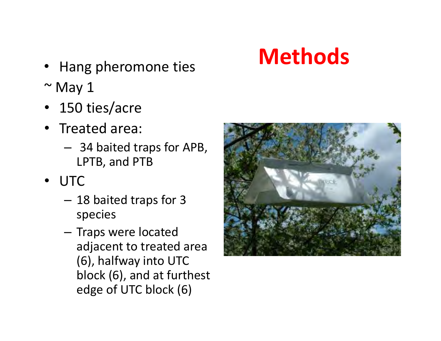#### • Hang pheromone ties **IVIC tilled**

- $\sim$  May 1
- 150 ties/acre
- Treated area:
	- –- 34 baited traps for APB, LPTB, and PTB
- • UTC
	- –- 18 baited traps for 3 species
	- Traps were located adjacent to treated area (6), halfway into UTC block (6), and at furthest edge of UTC block (6)



# **Methods**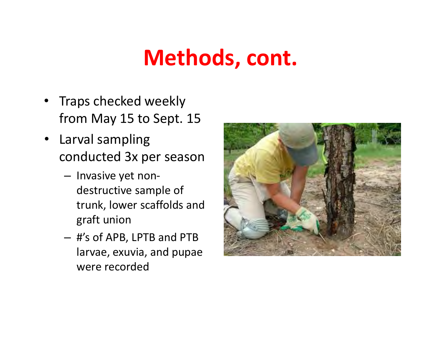## **Methods, cont.**

- •Traps checked weekly from May 15 to Sept. 15
- Larval sampling conducted 3x per season
	- Invasive yet nondestructive sample of trunk, lower scaffolds and graft union
	- – #'s of APB, LPTB and PTB larvae, exuvia, and pupae were recorded

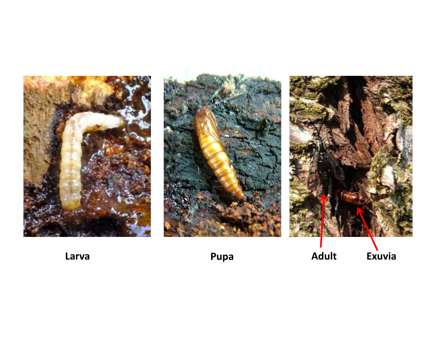





**Larva**

**Pupa**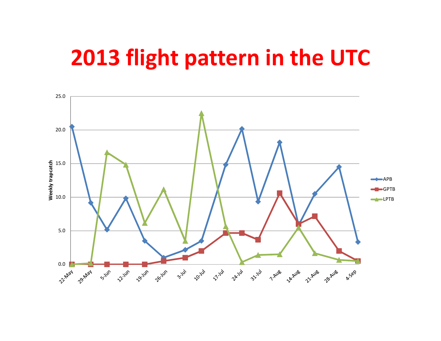### **2013 flight pattern in the UTC**

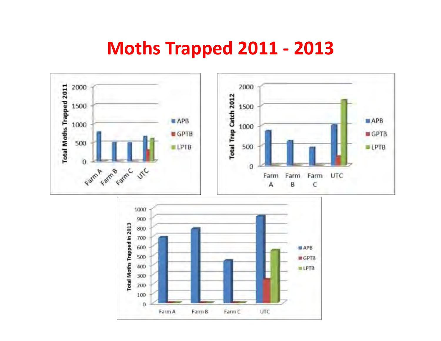#### **Moths Trapped 2011 - <sup>2013</sup>**

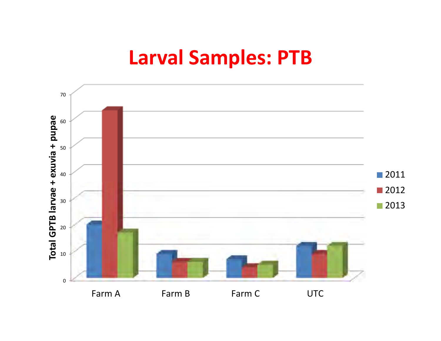### **Larval Samples: PTB**

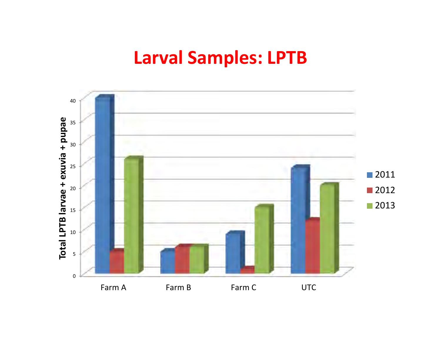#### **Larval Samples: LPTB**

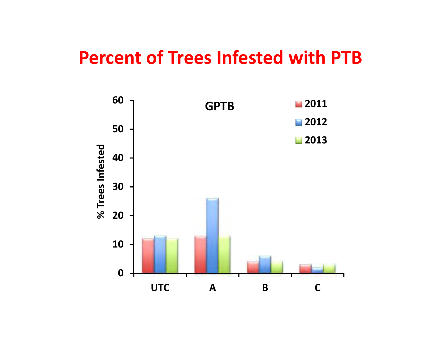#### **Percent of Trees Infested with PTB**

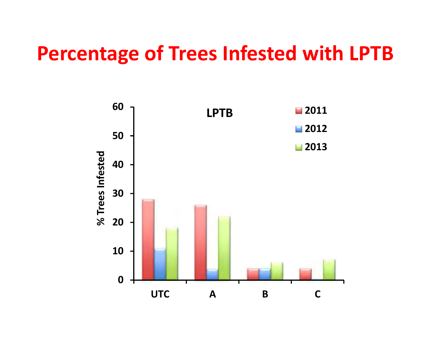### **Percentage of Trees Infested with LPTB**

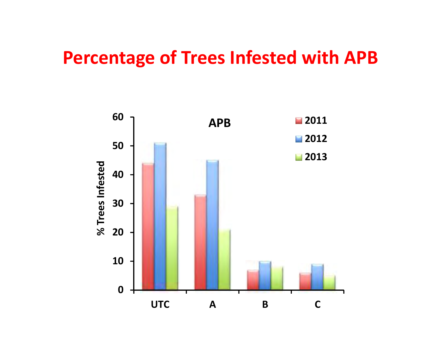#### **Percentage of Trees Infested with APB**

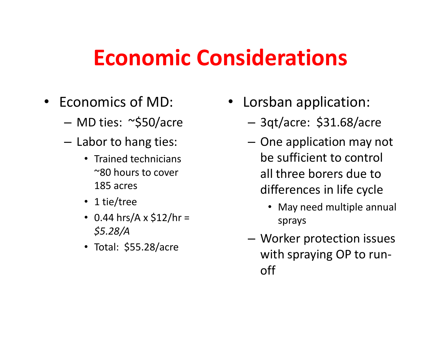### **Economic Considerations**

- •Economics of MD:
	- MD ties: ~\$50/acre
	- $-$  Labor to hang ties:
		- Trained technicians ~80 hours to cover 185 acres
		- 1 tie/tree
		- 0.44 hrs/A x  $$12/hr =$ *\$5.28/A*
		- Total: \$55.28/acre
- • Lorsban application:
	- 3qt/acre: \$31.68/acre
	- One application may not be sufficient to control all three borers due to differences in life cycle
		- May need multiple annual sprays
	- Worker protection issues with spraying OP to runoff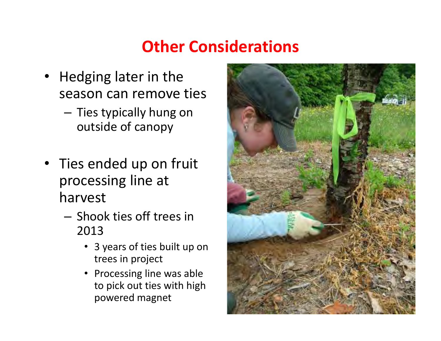#### **Other Considerations**

- Hedging later in the season can remove ties
	- –- Ties typically hung on outside of canopy
- • Ties ended up on fruit processing line at harvest
	- –- Shook ties off trees in 2013
		- 3 years of ties built up on trees in project
		- Processing line was able to pick out ties with high powered magnet

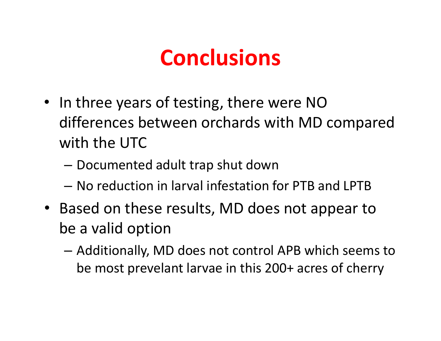## **Conclusions**

- In three years of testing, there were NO differences between orchards with MD compared with the UTC
	- – $-$  Documented adult trap shut down
	- – $-$  No reduction in larval infestation for PTB and LPTB
- Based on these results, MD does not appear to be a valid option
	- – Additionally, MD does not control APB which seems to be most prevelant larvae in this 200+ acres of cherry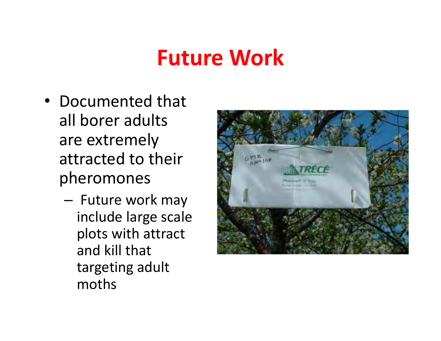### **Future Work**

- •Documented that all borer adults are extremely attracted to their pheromones
	- Future work may include large scale plots with attract and kill that targeting adult moths